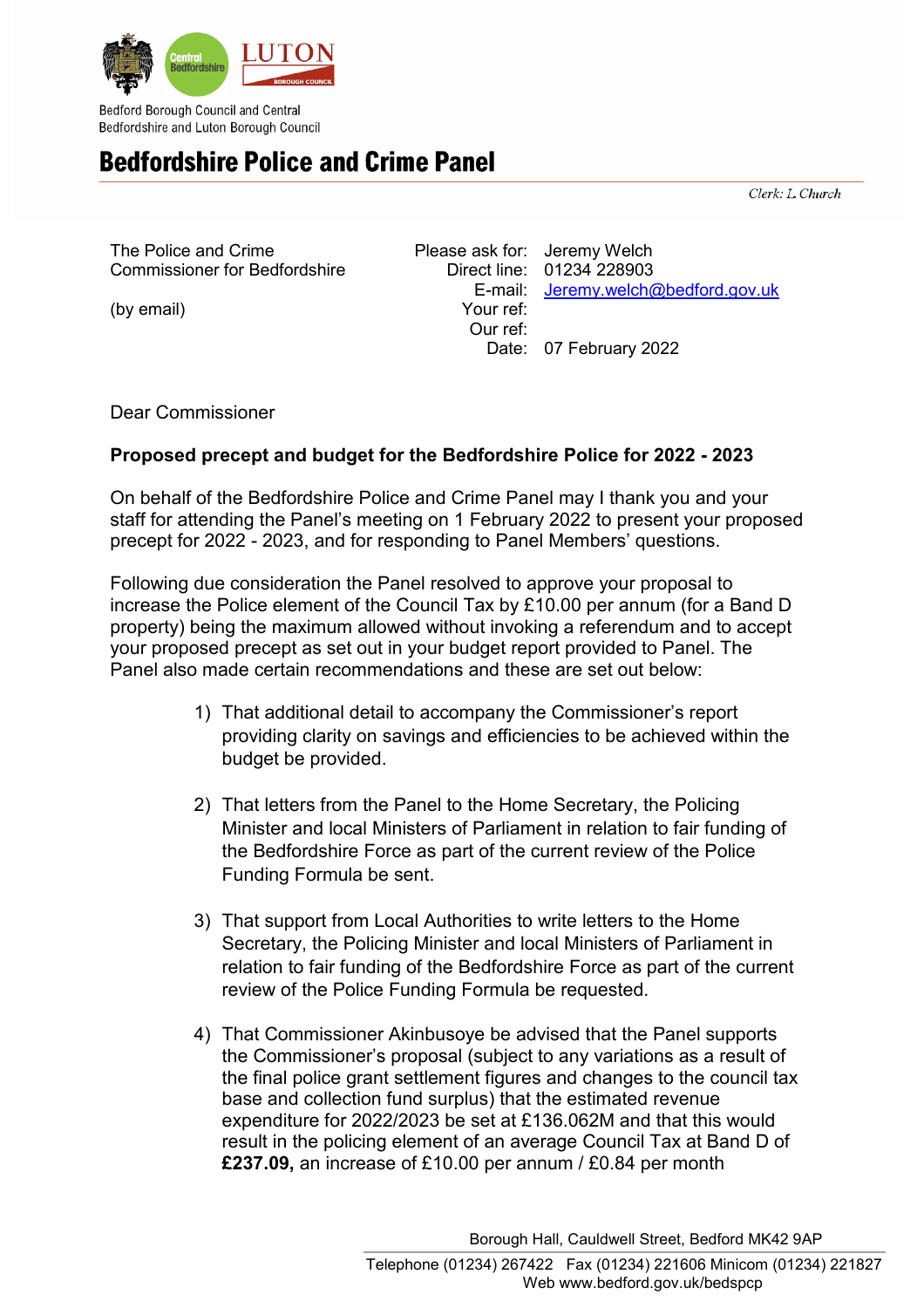

Bedford Borough Council and Central Bedfordshire and Luton Borough Council

## **Bedfordshire Police and Crime Panel**

Clerk: L. Church

| The Police and Crime                 | Please ask for: Jeremy Welch |                                     |
|--------------------------------------|------------------------------|-------------------------------------|
| <b>Commissioner for Bedfordshire</b> |                              | Direct line: 01234 228903           |
|                                      |                              | E-mail: Jeremy.welch@bedford.gov.uk |
| (by email)                           | Your ref:                    |                                     |
|                                      | Our ref:                     |                                     |
|                                      |                              | Date: 07 February 2022              |

Dear Commissioner

## **Proposed precept and budget for the Bedfordshire Police for 2022 - 2023**

On behalf of the Bedfordshire Police and Crime Panel may I thank you and your staff for attending the Panel's meeting on 1 February 2022 to present your proposed precept for 2022 - 2023, and for responding to Panel Members' questions.

Following due consideration the Panel resolved to approve your proposal to increase the Police element of the Council Tax by £10.00 per annum (for a Band D property) being the maximum allowed without invoking a referendum and to accept your proposed precept as set out in your budget report provided to Panel. The Panel also made certain recommendations and these are set out below:

- 1) That additional detail to accompany the Commissioner's report providing clarity on savings and efficiencies to be achieved within the budget be provided.
- 2) That letters from the Panel to the Home Secretary, the Policing Minister and local Ministers of Parliament in relation to fair funding of the Bedfordshire Force as part of the current review of the Police Funding Formula be sent.
- 3) That support from Local Authorities to write letters to the Home Secretary, the Policing Minister and local Ministers of Parliament in relation to fair funding of the Bedfordshire Force as part of the current review of the Police Funding Formula be requested.
- 4) That Commissioner Akinbusoye be advised that the Panel supports the Commissioner's proposal (subject to any variations as a result of the final police grant settlement figures and changes to the council tax base and collection fund surplus) that the estimated revenue expenditure for 2022/2023 be set at £136.062M and that this would result in the policing element of an average Council Tax at Band D of **£237.09,** an increase of £10.00 per annum / £0.84 per month

Borough Hall, Cauldwell Street, Bedford MK42 9AP